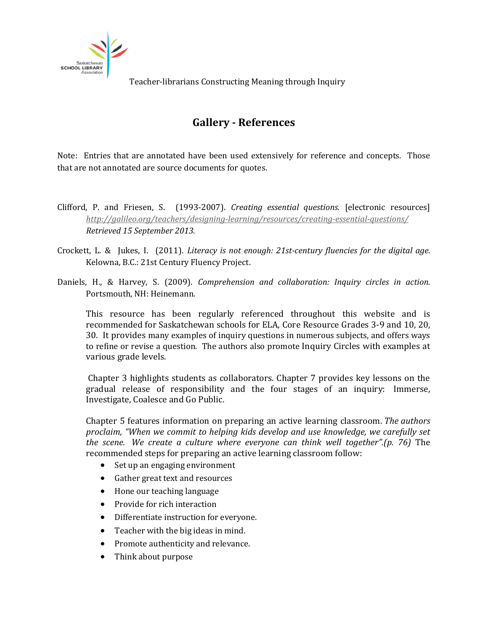

## **Gallery - References**

Note: Entries that are annotated have been used extensively for reference and concepts. Those that are not annotated are source documents for quotes.

- Clifford, P. and Friesen, S. (1993-2007). *Creating essential questions.* [electronic resources] *<http://galileo.org/teachers/designing-learning/resources/creating-essential-questions/> Retrieved 15 September 2013.*
- Crockett, L. & Jukes, I. (2011). *Literacy is not enough: 21st-century fluencies for the digital age*. Kelowna, B.C.: 21st Century Fluency Project.
- Daniels, H., & Harvey, S. (2009). *Comprehension and collaboration: Inquiry circles in action.* Portsmouth, NH: Heinemann.

This resource has been regularly referenced throughout this website and is recommended for Saskatchewan schools for ELA, Core Resource Grades 3-9 and 10, 20, 30. It provides many examples of inquiry questions in numerous subjects, and offers ways to refine or revise a question. The authors also promote Inquiry Circles with examples at various grade levels.

Chapter 3 highlights students as collaborators. Chapter 7 provides key lessons on the gradual release of responsibility and the four stages of an inquiry: Immerse, Investigate, Coalesce and Go Public.

Chapter 5 features information on preparing an active learning classroom. *The authors proclaim, "When we commit to helping kids develop and use knowledge, we carefully set the scene. We create a culture where everyone can think well together".(p. 76)* The recommended steps for preparing an active learning classroom follow:

- Set up an engaging environment
- Gather great text and resources
- Hone our teaching language
- Provide for rich interaction
- Differentiate instruction for everyone.
- Teacher with the big ideas in mind.
- Promote authenticity and relevance.
- Think about purpose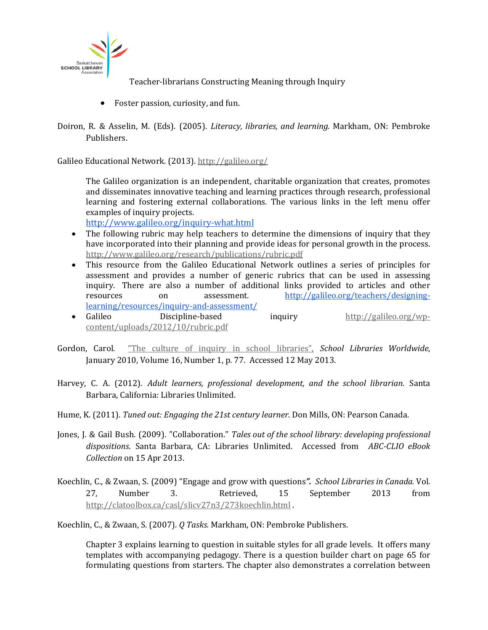

- Foster passion, curiosity, and fun.
- Doiron, R. & Asselin, M. (Eds). (2005). *Literacy, libraries, and learning.* Markham, ON: Pembroke Publishers.

Galileo Educational Network. (2013).<http://galileo.org/>

The Galileo organization is an independent, charitable organization that creates, promotes and disseminates innovative teaching and learning practices through research, professional learning and fostering external collaborations. The various links in the left menu offer examples of inquiry projects.

<http://www.galileo.org/inquiry-what.html>

- The following rubric may help teachers to determine the dimensions of inquiry that they have incorporated into their planning and provide ideas for personal growth in the process. <http://www.galileo.org/research/publications/rubric.pdf>
- This resource from the Galileo Educational Network outlines a series of principles for assessment and provides a number of generic rubrics that can be used in assessing inquiry. There are also a number of additional links provided to articles and other<br>resources on assessment.  $\frac{http://galileo.org/teachers/designing$ [http://galileo.org/teachers/designing](http://galileo.org/teachers/designing-learning/resources/inquiry-and-assessment/)[learning/resources/inquiry-and-assessment/](http://galileo.org/teachers/designing-learning/resources/inquiry-and-assessment/)
- inquiry [http://galileo.org/wp](http://galileo.org/wp-content/uploads/2012/10/rubric.pdf)[content/uploads/2012/10/rubric.pdf](http://galileo.org/wp-content/uploads/2012/10/rubric.pdf)
- Gordon, Carol. "The [culture of inquiry in school libraries",](http://www.google.ca/url?sa=t&rct=j&q=&esrc=s&source=web&cd=1&ved=0CDIQFjAA&url=http%3A%2F%2Fwww.iasl-online.org%2Ffiles%2Fslw2010-gordon.pdf&ei=yguLUZ7iMonZyQG6wYDgBQ&usg=AFQjCNFyf_10YjxHCwr-oVtTdvRy_TJ2NQ) *School Libraries Worldwide*, January 2010, Volume 16, Number 1, p. 77. Accessed 12 May 2013.
- Harvey, C. A. (2012). *Adult learners, professional development, and the school librarian*. Santa Barbara, California: Libraries Unlimited.
- Hume, K. (2011). *Tuned out: Engaging the 21st century learner*. Don Mills, ON: Pearson Canada.
- Jones, J. & Gail Bush. (2009). "Collaboration." *Tales out of the school library: developing professional dispositions*. Santa Barbara, CA: Libraries Unlimited. Accessed from *ABC-CLIO eBook Collection* on 15 Apr 2013.
- Koechlin, C., & Zwaan, S. (2009) ["Engage and grow with questions](http://clatoolbox.ca/casl/slicv27n3/273koechlin.html%20Vol.%2027)*". School Libraries in Canada.* Vol. 27, Number 3. Retrieved, 15 September 2013 from <http://clatoolbox.ca/casl/slicv27n3/273koechlin.html> .

Koechlin, C., & Zwaan, S. (2007). *Q Tasks.* Markham, ON: Pembroke Publishers.

Chapter 3 explains learning to question in suitable styles for all grade levels. It offers many templates with accompanying pedagogy. There is a question builder chart on page 65 for formulating questions from starters. The chapter also demonstrates a correlation between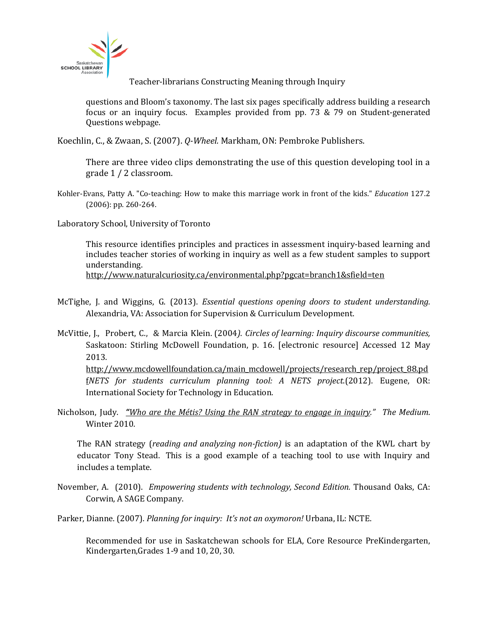

questions and Bloom's taxonomy. The last six pages specifically address building a research focus or an inquiry focus. Examples provided from pp. 73 & 79 on Student-generated Questions webpage.

Koechlin, C., & Zwaan, S. (2007). *Q-Wheel.* Markham, ON: Pembroke Publishers.

There are three video clips demonstrating the use of this question developing tool in a grade 1 / 2 classroom.

Kohler-Evans, Patty A. "Co-teaching: How to make this marriage work in front of the kids." *Education* 127.2 (2006): pp. 260-264.

Laboratory School, University of Toronto

This resource identifies principles and practices in assessment inquiry-based learning and includes teacher stories of working in inquiry as well as a few student samples to support understanding.

<http://www.naturalcuriosity.ca/environmental.php?pgcat=branch1&sfield=ten>

- McTighe, J. and Wiggins, G. (2013). *Essential questions opening doors to student understanding.* Alexandria, VA: Association for Supervision & Curriculum Development.
- McVittie, J., Probert, C., & Marcia Klein. (2004*)*. *Circles of learning: Inquiry discourse communities,*  Saskatoon: Stirling McDowell Foundation, p. 16. [electronic resource] Accessed 12 May 2013.

[http://www.mcdowellfoundation.ca/main\\_mcdowell/projects/research\\_rep/project\\_88.pd](http://www.mcdowellfoundation.ca/main_mcdowell/projects/research_rep/project_88.pdf) [f](http://www.mcdowellfoundation.ca/main_mcdowell/projects/research_rep/project_88.pdf)*NETS for students curriculum planning tool: A NETS project*.(2012). Eugene, OR: International Society for Technology in Education.

Nicholson, Judy. *"[Who are the Métis? Using the RAN strategy to engage in inquiry.](http://ssla.ca/ckfinder/userfiles/files/whoarethemetis_jnicholson_winter2010.pdf)" The Medium*. Winter 2010.

The RAN strategy (*reading and analyzing non-fiction)* is an adaptation of the KWL chart by educator Tony Stead. This is a good example of a teaching tool to use with Inquiry and includes a template.

- November, A. (2010). *Empowering students with technology, Second Edition.* Thousand Oaks, CA: Corwin, A SAGE Company.
- Parker, Dianne. (2007). *Planning for inquiry: It's not an oxymoron!* Urbana, IL: NCTE.

Recommended for use in Saskatchewan schools for ELA, Core Resource PreKindergarten, Kindergarten,Grades 1-9 and 10, 20, 30.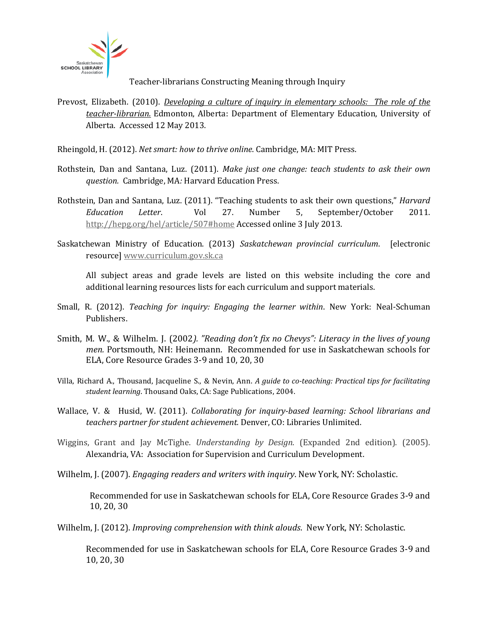

Prevost, Elizabeth. (2010). *[Developing a culture of inquiry in elementary schools: The role of the](file:///C:%5CUsers%5COwner%5CDesktop%5CInquiry%20Website%20July%202013%5Cgallery%20of%20inquiry%5Cgallery%20resources%20(print%20and%20online)%5C%E2%80%A2http:%5Cwww.elementaryed.ualberta.ca%5CGraduatePrograms%5CCappingInformationEDEL900%5C%7E%5Cmedia%5Celementaryed%5CDocuments%5CGraduatePrograms%5CCapping_SamplePaper_Prevost.pdf)  [teacher-librarian.](file:///C:%5CUsers%5COwner%5CDesktop%5CInquiry%20Website%20July%202013%5Cgallery%20of%20inquiry%5Cgallery%20resources%20(print%20and%20online)%5C%E2%80%A2http:%5Cwww.elementaryed.ualberta.ca%5CGraduatePrograms%5CCappingInformationEDEL900%5C%7E%5Cmedia%5Celementaryed%5CDocuments%5CGraduatePrograms%5CCapping_SamplePaper_Prevost.pdf)* Edmonton, Alberta: Department of Elementary Education, University of Alberta.Accessed 12 May 2013.

Rheingold, H. (2012). *Net smart: how to thrive online*. Cambridge, MA: MIT Press.

- Rothstein, Dan and Santana, Luz. (2011). *Make just one change: teach students to ask their own question.* Cambridge, MA*:* Harvard Education Press.
- Rothstein, Dan and Santana, Luz. (2011). "Teaching students to ask their own questions," *Harvard Education Letter*. Vol 27. Number 5, September/October 2011. [http://hepg.org/hel/article/507#home](http://hepg.org/hel/article/507%23home) Accessed online 3 July 2013.
- Saskatchewan Ministry of Education. (2013) *Saskatchewan provincial curriculum*. [electronic resource[\] www.curriculum.gov.sk.ca](http://www.curriculum.gov.sk.ca/)

All subject areas and grade levels are listed on this website including the core and additional learning resources lists for each curriculum and support materials.

- Small, R. (2012). *Teaching for inquiry: Engaging the learner within*. New York: Neal-Schuman Publishers.
- Smith, M. W., & Wilhelm. J. (2002*). "Reading don't fix no Chevys": Literacy in the lives of young men.* Portsmouth, NH: Heinemann. Recommended for use in Saskatchewan schools for ELA, Core Resource Grades 3-9 and 10, 20, 30
- Villa, Richard A., Thousand, Jacqueline S., & Nevin, Ann. *A guide to co-teaching: Practical tips for facilitating student learning*. Thousand Oaks, CA: Sage Publications, 2004.
- Wallace, V. & Husid, W. (2011). *Collaborating for inquiry-based learning: School librarians and teachers partner for student achievement.* Denver, CO: Libraries Unlimited.
- Wiggins, Grant and Jay McTighe. *Understanding by Design*. (Expanded 2nd edition). (2005). Alexandria, VA: Association for Supervision and Curriculum Development.

Wilhelm, J. (2007). *Engaging readers and writers with inquiry*. New York, NY: Scholastic.

Recommended for use in Saskatchewan schools for ELA, Core Resource Grades 3-9 and 10, 20, 30

Wilhelm, J. (2012). *Improving comprehension with think alouds*. New York, NY: Scholastic.

Recommended for use in Saskatchewan schools for ELA, Core Resource Grades 3-9 and 10, 20, 30